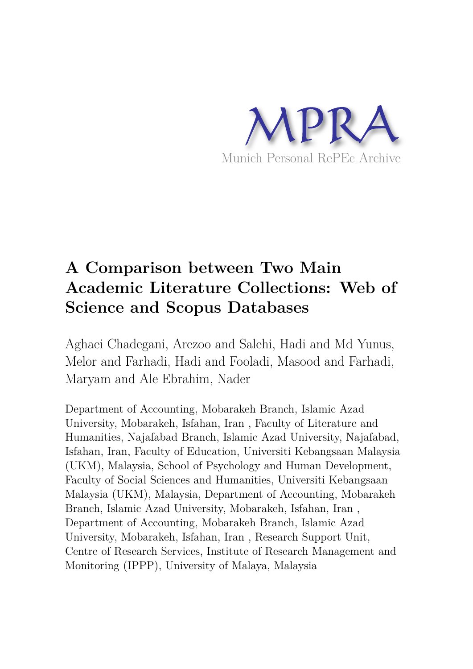

# **A Comparison between Two Main Academic Literature Collections: Web of Science and Scopus Databases**

Aghaei Chadegani, Arezoo and Salehi, Hadi and Md Yunus, Melor and Farhadi, Hadi and Fooladi, Masood and Farhadi, Maryam and Ale Ebrahim, Nader

Department of Accounting, Mobarakeh Branch, Islamic Azad University, Mobarakeh, Isfahan, Iran , Faculty of Literature and Humanities, Najafabad Branch, Islamic Azad University, Najafabad, Isfahan, Iran, Faculty of Education, Universiti Kebangsaan Malaysia (UKM), Malaysia, School of Psychology and Human Development, Faculty of Social Sciences and Humanities, Universiti Kebangsaan Malaysia (UKM), Malaysia, Department of Accounting, Mobarakeh Branch, Islamic Azad University, Mobarakeh, Isfahan, Iran , Department of Accounting, Mobarakeh Branch, Islamic Azad University, Mobarakeh, Isfahan, Iran , Research Support Unit, Centre of Research Services, Institute of Research Management and Monitoring (IPPP), University of Malaya, Malaysia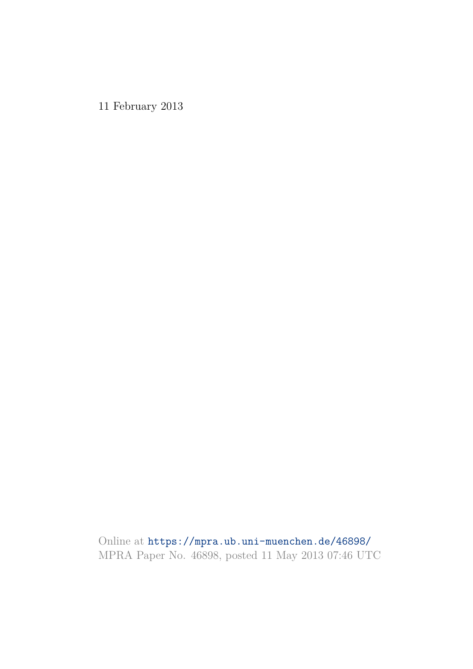11 February 2013

Online at https://mpra.ub.uni-muenchen.de/46898/ MPRA Paper No. 46898, posted 11 May 2013 07:46 UTC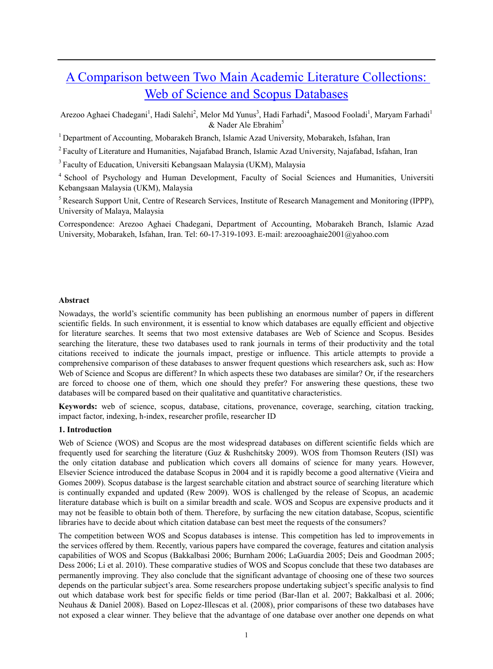# [A Comparison between Two Main Academic Literature Collections:](http://ssrn.com/abstract=2257540)  [Web of Science and Scopus Databases](http://ssrn.com/abstract=2257540)

Arezoo Aghaei Chadegani<sup>1</sup>, Hadi Salehi<sup>2</sup>, Melor Md Yunus<sup>3</sup>, Hadi Farhadi<sup>4</sup>, Masood Fooladi<sup>1</sup>, Maryam Farhadi<sup>1</sup>  $&$  Nader Ale Ebrahim<sup>5</sup>

<sup>1</sup> Department of Accounting, Mobarakeh Branch, Islamic Azad University, Mobarakeh, Isfahan, Iran

<sup>2</sup>Faculty of Literature and Humanities, Najafabad Branch, Islamic Azad University, Najafabad, Isfahan, Iran

<sup>3</sup> Faculty of Education, Universiti Kebangsaan Malaysia (UKM), Malaysia

<sup>4</sup> School of Psychology and Human Development, Faculty of Social Sciences and Humanities, Universiti Kebangsaan Malaysia (UKM), Malaysia

<sup>5</sup> Research Support Unit, Centre of Research Services, Institute of Research Management and Monitoring (IPPP), University of Malaya, Malaysia

Correspondence: Arezoo Aghaei Chadegani, Department of Accounting, Mobarakeh Branch, Islamic Azad University, Mobarakeh, Isfahan, Iran. Tel: 60-17-319-1093. E-mail: arezooaghaie2001@yahoo.com

#### **Abstract**

Nowadays, the world's scientific community has been publishing an enormous number of papers in different scientific fields. In such environment, it is essential to know which databases are equally efficient and objective for literature searches. It seems that two most extensive databases are Web of Science and Scopus. Besides searching the literature, these two databases used to rank journals in terms of their productivity and the total citations received to indicate the journals impact, prestige or influence. This article attempts to provide a comprehensive comparison of these databases to answer frequent questions which researchers ask, such as: How Web of Science and Scopus are different? In which aspects these two databases are similar? Or, if the researchers are forced to choose one of them, which one should they prefer? For answering these questions, these two databases will be compared based on their qualitative and quantitative characteristics.

**Keywords:** web of science, scopus, database, citations, provenance, coverage, searching, citation tracking, impact factor, indexing, h-index, researcher profile, researcher ID

#### **1. Introduction**

Web of Science (WOS) and Scopus are the most widespread databases on different scientific fields which are frequently used for searching the literature (Guz & Rushchitsky 2009). WOS from Thomson Reuters (ISI) was the only citation database and publication which covers all domains of science for many years. However, Elsevier Science introduced the database Scopus in 2004 and it is rapidly become a good alternative (Vieira and Gomes 2009). Scopus database is the largest searchable citation and abstract source of searching literature which is continually expanded and updated (Rew 2009). WOS is challenged by the release of Scopus, an academic literature database which is built on a similar breadth and scale. WOS and Scopus are expensive products and it may not be feasible to obtain both of them. Therefore, by surfacing the new citation database, Scopus, scientific libraries have to decide about which citation database can best meet the requests of the consumers?

The competition between WOS and Scopus databases is intense. This competition has led to improvements in the services offered by them. Recently, various papers have compared the coverage, features and citation analysis capabilities of WOS and Scopus [\(Bakkalbasi 2006;](http://www.istl.org/06-fall/electronic2.html#1) [Burnham 2006;](http://www.istl.org/06-fall/electronic2.html#2) [LaGuardia 2005;](http://www.istl.org/06-fall/electronic2.html#8) [Deis and Goodman 2005;](http://www.istl.org/06-fall/electronic2.html#3) [Dess 2006;](http://www.istl.org/06-fall/electronic2.html#5) Li et al. 2010). These comparative studies of WOS and Scopus conclude that these two databases are permanently improving. They also conclude that the significant advantage of choosing one of these two sources depends on the particular subject's area. Some researchers propose undertaking subject's specific analysis to find out which database work best for specific fields or time period (Bar-Ilan et al. 2007; Bakkalbasi et al. 2006; Neuhaus & Daniel 2008). Based on Lopez-Illescas et al. (2008), prior comparisons of these two databases have not exposed a clear winner. They believe that the advantage of one database over another one depends on what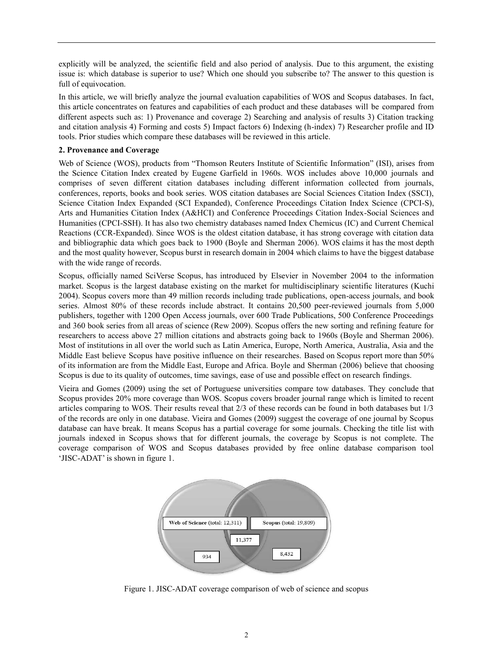explicitly will be analyzed, the scientific field and also period of analysis. Due to this argument, the existing issue is: which database is superior to use? Which one should you subscribe to? The answer to this question is full of equivocation.

In this article, we will briefly analyze the journal evaluation capabilities of WOS and Scopus databases. In fact, this article concentrates on features and capabilities of each product and these databases will be compared from different aspects such as: 1) Provenance and coverage 2) Searching and analysis of results 3) Citation tracking and citation analysis 4) Forming and costs 5) Impact factors 6) Indexing (h-index) 7) Researcher profile and ID tools. Prior studies which compare these databases will be reviewed in this article.

# **2. Provenance and Coverage**

Web of Science (WOS), products from "Thomson Reuters Institute of Scientific Information" (ISI), arises from the Science Citation Index created by Eugene Garfield in 1960s. WOS includes above 10,000 journals and comprises of seven different citation databases including different information collected from journals, conferences, reports, books and book series. WOS citation databases are Social Sciences Citation Index (SSCI), Science Citation Index Expanded (SCI Expanded), Conference Proceedings Citation Index Science (CPCI-S), Arts and Humanities Citation Index (A&HCI) and Conference Proceedings Citation Index-Social Sciences and Humanities (CPCI-SSH). It has also two chemistry databases named Index Chemicus (IC) and Current Chemical Reactions (CCR-Expanded). Since WOS is the oldest citation database, it has strong coverage with citation data and bibliographic data which goes back to 1900 (Boyle and Sherman 2006). WOS claims it has the most depth and the most quality however, Scopus burst in research domain in 2004 which claims to have the biggest database with the wide range of records.

Scopus, officially named SciVerse Scopus, has introduced by Elsevier in November 2004 to the information market. Scopus is the largest database existing on the market for multidisciplinary scientific literatures (Kuchi 2004). Scopus covers more than 49 million records including trade publications, open-access journals, and book series. Almost 80% of these records include abstract. It contains 20,500 peer-reviewed journals from 5,000 publishers, together with 1200 Open Access journals, over 600 Trade Publications, 500 Conference Proceedings and 360 book series from all areas of science (Rew 2009). Scopus offers the new sorting and refining feature for researchers to access above 27 million citations and abstracts going back to 1960s (Boyle and Sherman 2006). Most of institutions in all over the world such as Latin America, Europe, North America, Australia, Asia and the Middle East believe Scopus have positive influence on their researches. Based on Scopus report more than 50% of its information are from the Middle East, Europe and Africa. Boyle and Sherman (2006) believe that choosing Scopus is due to its quality of outcomes, time savings, ease of use and possible effect on research findings.

Vieira and Gomes (2009) using the set of Portuguese universities compare tow databases. They conclude that Scopus provides 20% more coverage than WOS. Scopus covers broader journal range which is limited to recent articles comparing to WOS. Their results reveal that 2/3 of these records can be found in both databases but 1/3 of the records are only in one database. Vieira and Gomes (2009) suggest the coverage of one journal by Scopus database can have break. It means Scopus has a partial coverage for some journals. Checking the title list with journals indexed in Scopus shows that for different journals, the coverage by Scopus is not complete. The coverage comparison of WOS and Scopus databases provided by free online database comparison tool ‗JISC-ADAT' is shown in figure 1.



Figure 1. JISC-ADAT coverage comparison of web of science and scopus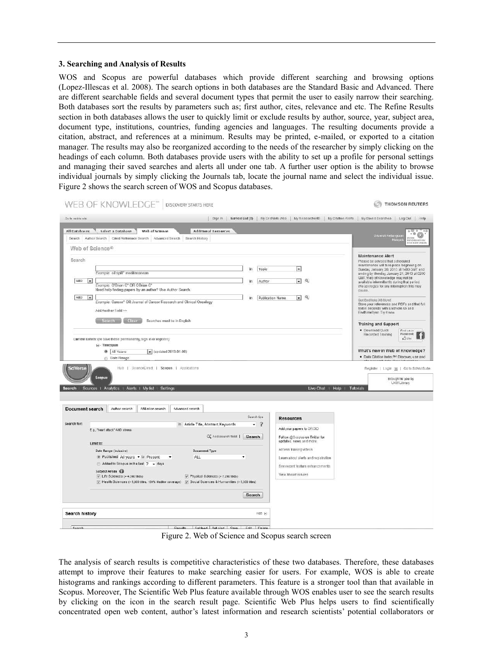### **3. Searching and Analysis of Results**

WOS and Scopus are powerful databases which provide different searching and browsing options (Lopez-Illescas et al. 2008). The search options in both databases are the Standard Basic and Advanced. There are different searchable fields and several document types that permit the user to easily narrow their searching. Both databases sort the results by parameters such as; first author, cites, relevance and etc. The Refine Results section in both databases allows the user to quickly limit or exclude results by author, source, year, subject area, document type, institutions, countries, funding agencies and languages. The resulting documents provide a citation, abstract, and references at a minimum. Results may be printed, e-mailed, or exported to a citation manager. The results may also be reorganized according to the needs of the researcher by simply clicking on the headings of each column. Both databases provide users with the ability to set up a profile for personal settings and managing their saved searches and alerts all under one tab. A further user option is the ability to browse individual journals by simply clicking the Journals tab, locate the journal name and select the individual issue. Figure 2 shows the search screen of WOS and Scopus databases.

| My ResearcherfD   My Castion Alerta<br>Go to mobile site<br>Sign in<br>Marked List (0)<br>My EndNote Web<br>All Databases<br>Select a Database<br>Web of Science<br>Additional Resources<br>Universiti Kobangso<br>Author Search Cited Reference Search<br>Advanced Search<br>Search History<br>Search<br>Malays<br>Web of Science <sup>®</sup><br>Maintenance Alert<br>Search<br>Please be advised that scheduled<br>$\overline{ }$<br>in<br>Topic<br>Example: oil spill* mediterranean<br>AND<br>⊟વ<br>$\left  \cdot \right $<br>Author<br>in.<br>Example: O'Brian C* OR OBrian C*<br>Need help finding papers by an author? Use Author Search.<br>cause.<br>AND<br>$\propto$<br>$-9$<br>Publication Name<br>in<br>Get EndNote X6 Now!<br>Example: Cancer* OR Jeemal of Cancer Research and Clinical Oncology<br>Add Another Field >><br>EndNoteSync. Try it now<br>Search 1<br>Clear:<br>Searches must be in English<br><b>Training and Support</b><br>· Download Clilick<br><b>Find ux on</b><br>Recorded Training<br>Facebook<br>a <sup>3</sup> Like<br>Current Limits: (To save these permanently, sign in or register.)<br>$E - Timespan$<br>What's new in Web of Knowledge?<br>O All Years<br>[m] (updated 2013-01-09)<br>(1) Date Range<br><b>SciVerse</b><br>Hub   ScienceDirect   Scopus   Applications<br>Scopus<br>UKM Library<br>Search   Sources   Analytics   Alerts   My list   Settings<br>Live Chat   Help   Tutorials<br>Document search<br>Author search<br>Affiliation search<br>Advanced search<br>Search fips<br><b>Resources</b><br>Search for:<br>$+2$<br>In Article Title, Abstract, Keywords<br>Add your papers to ORCID<br>E.g., "heart attack" AND stress<br>Q: Add search field<br>Search<br>Follow @Scopus on Twitter for<br>updates, news and more<br>Limit to:<br>Access training videos<br>Date Range (inclusive)<br><b>Document Type</b><br>C Published Allyegis . to Present<br>ALL<br>$\overline{\phantom{a}}$<br>۰<br>Learn about alerts and registration<br>Added to Scopus in the last 7 + days<br>See recent feature enhancements<br>Subject Areas<br>View known issues<br>V Life Sciences (> 4,300 tites)<br>Physical Sciences (> 7,200 fries)<br>V Health Sciences (> 6,800 titles, 100% Medine coverage)<br>V Social Sciences & Humanities (> 5,300 titles)<br>Search | <b>WEB OF KNOWLEDGE<sup>®</sup></b> DISCOVERY STARTS HERE |  | <b>THOMSON REUTERS</b>                                                                                                                                                                                                                                                                                                                                       |
|--------------------------------------------------------------------------------------------------------------------------------------------------------------------------------------------------------------------------------------------------------------------------------------------------------------------------------------------------------------------------------------------------------------------------------------------------------------------------------------------------------------------------------------------------------------------------------------------------------------------------------------------------------------------------------------------------------------------------------------------------------------------------------------------------------------------------------------------------------------------------------------------------------------------------------------------------------------------------------------------------------------------------------------------------------------------------------------------------------------------------------------------------------------------------------------------------------------------------------------------------------------------------------------------------------------------------------------------------------------------------------------------------------------------------------------------------------------------------------------------------------------------------------------------------------------------------------------------------------------------------------------------------------------------------------------------------------------------------------------------------------------------------------------------------------------------------------------------------------------------------------------------------------------------------------------------------------------------------------------------------------------------------------------------------------------------------------------------------------------------------------------------------------------------------------------------------------------------------------------------------------------------------------------------------------------------|-----------------------------------------------------------|--|--------------------------------------------------------------------------------------------------------------------------------------------------------------------------------------------------------------------------------------------------------------------------------------------------------------------------------------------------------------|
|                                                                                                                                                                                                                                                                                                                                                                                                                                                                                                                                                                                                                                                                                                                                                                                                                                                                                                                                                                                                                                                                                                                                                                                                                                                                                                                                                                                                                                                                                                                                                                                                                                                                                                                                                                                                                                                                                                                                                                                                                                                                                                                                                                                                                                                                                                                    |                                                           |  | My Saved Searches   Log Out   Help                                                                                                                                                                                                                                                                                                                           |
|                                                                                                                                                                                                                                                                                                                                                                                                                                                                                                                                                                                                                                                                                                                                                                                                                                                                                                                                                                                                                                                                                                                                                                                                                                                                                                                                                                                                                                                                                                                                                                                                                                                                                                                                                                                                                                                                                                                                                                                                                                                                                                                                                                                                                                                                                                                    |                                                           |  | 000<br>$+ 0$<br>$^{\circ}$<br>MORE<br><b>INFORMATION</b>                                                                                                                                                                                                                                                                                                     |
|                                                                                                                                                                                                                                                                                                                                                                                                                                                                                                                                                                                                                                                                                                                                                                                                                                                                                                                                                                                                                                                                                                                                                                                                                                                                                                                                                                                                                                                                                                                                                                                                                                                                                                                                                                                                                                                                                                                                                                                                                                                                                                                                                                                                                                                                                                                    |                                                           |  | FOR NEW USERS                                                                                                                                                                                                                                                                                                                                                |
|                                                                                                                                                                                                                                                                                                                                                                                                                                                                                                                                                                                                                                                                                                                                                                                                                                                                                                                                                                                                                                                                                                                                                                                                                                                                                                                                                                                                                                                                                                                                                                                                                                                                                                                                                                                                                                                                                                                                                                                                                                                                                                                                                                                                                                                                                                                    |                                                           |  | maintenance will take place beginning on<br>Sunday, January 20, 2013 at 1400 GMT and<br>ending by Monday, January 21, 2013 at 0200<br>GMT. Web of Knowledge may not be<br>available intermittently during that period.<br>We appliciate for any interruption this may<br>Store your references and PDFs and find full<br>text in seconds with EndNote X6 and |
|                                                                                                                                                                                                                                                                                                                                                                                                                                                                                                                                                                                                                                                                                                                                                                                                                                                                                                                                                                                                                                                                                                                                                                                                                                                                                                                                                                                                                                                                                                                                                                                                                                                                                                                                                                                                                                                                                                                                                                                                                                                                                                                                                                                                                                                                                                                    |                                                           |  |                                                                                                                                                                                                                                                                                                                                                              |
|                                                                                                                                                                                                                                                                                                                                                                                                                                                                                                                                                                                                                                                                                                                                                                                                                                                                                                                                                                                                                                                                                                                                                                                                                                                                                                                                                                                                                                                                                                                                                                                                                                                                                                                                                                                                                                                                                                                                                                                                                                                                                                                                                                                                                                                                                                                    |                                                           |  | · Data Citation Index <sup>514</sup> : Discover, use and<br>Register   Legin   H   Go to SciVal Suite<br>Brought to you by                                                                                                                                                                                                                                   |
|                                                                                                                                                                                                                                                                                                                                                                                                                                                                                                                                                                                                                                                                                                                                                                                                                                                                                                                                                                                                                                                                                                                                                                                                                                                                                                                                                                                                                                                                                                                                                                                                                                                                                                                                                                                                                                                                                                                                                                                                                                                                                                                                                                                                                                                                                                                    |                                                           |  |                                                                                                                                                                                                                                                                                                                                                              |
|                                                                                                                                                                                                                                                                                                                                                                                                                                                                                                                                                                                                                                                                                                                                                                                                                                                                                                                                                                                                                                                                                                                                                                                                                                                                                                                                                                                                                                                                                                                                                                                                                                                                                                                                                                                                                                                                                                                                                                                                                                                                                                                                                                                                                                                                                                                    |                                                           |  |                                                                                                                                                                                                                                                                                                                                                              |
|                                                                                                                                                                                                                                                                                                                                                                                                                                                                                                                                                                                                                                                                                                                                                                                                                                                                                                                                                                                                                                                                                                                                                                                                                                                                                                                                                                                                                                                                                                                                                                                                                                                                                                                                                                                                                                                                                                                                                                                                                                                                                                                                                                                                                                                                                                                    |                                                           |  |                                                                                                                                                                                                                                                                                                                                                              |
| Search history<br>Ride El                                                                                                                                                                                                                                                                                                                                                                                                                                                                                                                                                                                                                                                                                                                                                                                                                                                                                                                                                                                                                                                                                                                                                                                                                                                                                                                                                                                                                                                                                                                                                                                                                                                                                                                                                                                                                                                                                                                                                                                                                                                                                                                                                                                                                                                                                          |                                                           |  |                                                                                                                                                                                                                                                                                                                                                              |

WER OF KNOWLEDGE<sup>®</sup> DISCOVERY STARTS HERE

Figure 2. Web of Science and Scopus search screen

The analysis of search results is competitive characteristics of these two databases. Therefore, these databases attempt to improve their features to make searching easier for users. For example, WOS is able to create histograms and rankings according to different parameters. This feature is a stronger tool than that available in Scopus. Moreover, The Scientific Web Plus feature available through WOS enables user to see the search results by clicking on the icon in the search result page. Scientific Web Plus helps users to find scientifically concentrated open web content, author's latest information and research scientists' potential collaborators or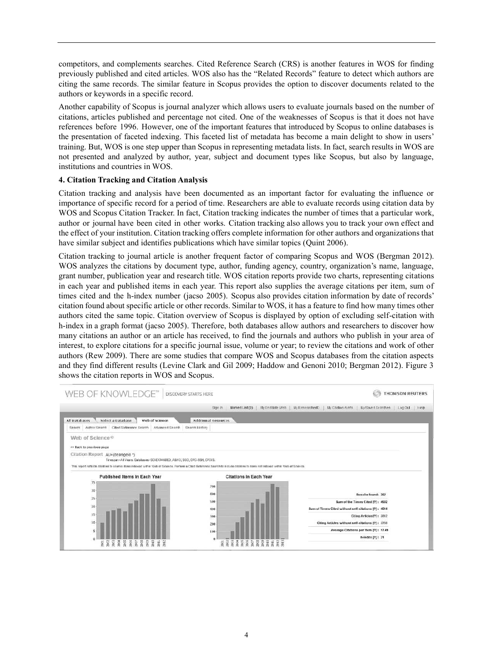competitors, and complements searches. Cited Reference Search (CRS) is another features in WOS for finding previously published and cited articles. WOS also has the "Related Records" feature to detect which authors are citing the same records. The similar feature in Scopus provides the option to discover documents related to the authors or keywords in a specific record.

Another capability of Scopus is journal analyzer which allows users to evaluate journals based on the number of citations, articles published and percentage not cited. One of the weaknesses of Scopus is that it does not have references before 1996. However, one of the important features that introduced by Scopus to online databases is the presentation of faceted indexing. This faceted list of metadata has become a main delight to show in users' training. But, WOS is one step upper than Scopus in representing metadata lists. In fact, search results in WOS are not presented and analyzed by author, year, subject and document types like Scopus, but also by language, institutions and countries in WOS.

# **4. Citation Tracking and Citation Analysis**

Citation tracking and analysis have been documented as an important factor for evaluating the influence or importance of specific record for a period of time. Researchers are able to evaluate records using citation data by WOS and Scopus Citation Tracker. In fact, Citation tracking indicates the number of times that a particular work, author or journal have been cited in other works. Citation tracking also allows you to track your own effect and the effect of your institution. Citation tracking offers complete information for other authors and organizations that have similar subject and identifies publications which have similar topics (Quint 2006).

Citation tracking to journal article is another frequent factor of comparing Scopus and WOS (Bergman 2012). WOS analyzes the citations by document type, author, funding agency, country, organization's name, language, grant number, publication year and research title. WOS citation reports provide two charts, representing citations in each year and published items in each year. This report also supplies the average citations per item, sum of times cited and the h-index number (jacso 2005). Scopus also provides citation information by date of records' citation found about specific article or other records. Similar to WOS, it has a feature to find how many times other authors cited the same topic. Citation overview of Scopus is displayed by option of excluding self-citation with h-index in a graph format (jacso 2005). Therefore, both databases allow authors and researchers to discover how many citations an author or an article has received, to find the journals and authors who publish in your area of interest, to explore citations for a specific journal issue, volume or year; to review the citations and work of other authors (Rew 2009). There are some studies that compare WOS and Scopus databases from the citation aspects and they find different results (Levine Clark and Gil 2009; Haddow and Genoni 2010; Bergman 2012). Figure 3 shows the citation reports in WOS and Scopus.

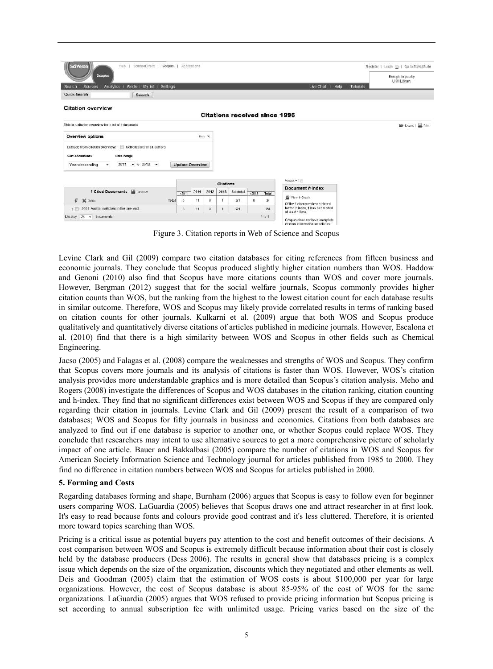|                                                                          |                        | ScienceDirect   Scopus   Applications |              |                  |                                      |                      |       |                                                      | Register   Login (#)   Go to Scival Suite |
|--------------------------------------------------------------------------|------------------------|---------------------------------------|--------------|------------------|--------------------------------------|----------------------|-------|------------------------------------------------------|-------------------------------------------|
| Scopus                                                                   |                        |                                       |              |                  |                                      |                      |       |                                                      | Enought to you by<br>UKM Library          |
| Sources<br>Analytics   Alerts   My list  <br><b>Settings</b><br>Search I |                        |                                       |              |                  |                                      |                      |       | Help   Tutorials<br>Live Chat                        |                                           |
| Quick Search<br>Search                                                   |                        |                                       |              |                  |                                      |                      |       |                                                      |                                           |
| <b>Citation overview</b>                                                 |                        |                                       |              |                  |                                      |                      |       |                                                      |                                           |
|                                                                          |                        |                                       |              |                  | <b>Citations received since 1996</b> |                      |       |                                                      |                                           |
| This is a citation overview for a set of 1 documents.                    |                        |                                       |              |                  |                                      |                      |       |                                                      | ED Export   EL Print                      |
| Overview options<br>Hide (E)                                             |                        |                                       |              |                  |                                      |                      |       |                                                      |                                           |
| Exclude from citation overview: Self citations of all authors            |                        |                                       |              |                  |                                      |                      |       |                                                      |                                           |
| Sort documents<br>Date range                                             |                        |                                       |              |                  |                                      |                      |       |                                                      |                                           |
| $2011 - b$ to $2013 - c$<br>Year descending<br>۰                         | <b>Update Overview</b> |                                       |              |                  |                                      |                      |       |                                                      |                                           |
|                                                                          |                        |                                       |              |                  |                                      |                      |       |                                                      |                                           |
|                                                                          |                        |                                       |              | <b>Citations</b> |                                      |                      |       | $h$ index = $1$ $\boxminus$                          |                                           |
| 1 Cited Documents all Save lat                                           | 42011                  | 2011                                  | 2012         | 2013             | Subtotal                             | 52013                | Total | Document h index                                     |                                           |
| Total<br>X Delete<br>F                                                   | $\mathbf{a}$           | 11                                    | 9            |                  | 21                                   | $\ddot{\phantom{0}}$ | 24    | 题 View h-Graph<br>Of the 1 document considered       |                                           |
| 2009 Auditor switches in the pre-And<br>$+$ $\Box$                       | U.                     | 11                                    | $\mathbf{Q}$ |                  | 21                                   |                      | 24    | for the hindex. 1 has been cited<br>at least 1 time. |                                           |
| 25<br>· documents<br>Display                                             |                        |                                       |              |                  |                                      |                      | 1101  | Scopus does not have complete                        |                                           |

Figure 3. Citation reports in Web of Science and Scopus

Levine Clark and Gil (2009) compare two citation databases for citing references from fifteen business and economic journals. They conclude that Scopus produced slightly higher citation numbers than WOS. Haddow and Genoni (2010) also find that Scopus have more citations counts than WOS and cover more journals. However, Bergman (2012) suggest that for the social welfare journals, Scopus commonly provides higher citation counts than WOS, but the ranking from the highest to the lowest citation count for each database results in similar outcome. Therefore, WOS and Scopus may likely provide correlated results in terms of ranking based on citation counts for other journals. Kulkarni et al. (2009) argue that both WOS and Scopus produce qualitatively and quantitatively diverse citations of articles published in medicine journals. However, Escalona et al. (2010) find that there is a high similarity between WOS and Scopus in other fields such as Chemical Engineering.

Jacso (2005) and Falagas et al. (2008) compare the weaknesses and strengths of WOS and Scopus. They confirm that Scopus covers more journals and its analysis of citations is faster than WOS. However, WOS's citation analysis provides more understandable graphics and is more detailed than Scopus's citation analysis. Meho and Rogers (2008) investigate the differences of Scopus and WOS databases in the citation ranking, citation counting and h-index. They find that no significant differences exist between WOS and Scopus if they are compared only regarding their citation in journals. Levine Clark and Gil (2009) present the result of a comparison of two databases; WOS and Scopus for fifty journals in business and economics. Citations from both databases are analyzed to find out if one database is superior to another one, or whether Scopus could replace WOS. They conclude that researchers may intent to use alternative sources to get a more comprehensive picture of scholarly impact of one article. Bauer and Bakkalbasi (2005) compare the number of citations in WOS and Scopus for American Society Information Science and Technology journal for articles published from 1985 to 2000. They find no difference in citation numbers between WOS and Scopus for articles published in 2000.

# **5. Forming and Costs**

Regarding databases forming and shape, Burnham (2006) argues that Scopus is easy to follow even for beginner users comparing WOS. LaGuardia (2005) believes that Scopus draws one and attract researcher in at first look. It's easy to read because fonts and colours provide good contrast and it's less cluttered. Therefore, it is oriented more toward topics searching than WOS.

Pricing is a critical issue as potential buyers pay attention to the cost and benefit outcomes of their decisions. A cost comparison between WOS and Scopus is extremely difficult because information about their cost is closely held by the database producers (Dess 2006). The results in general show that databases pricing is a complex issue which depends on the size of the organization, discounts which they negotiated and other elements as well. Deis and Goodman (2005) claim that the estimation of WOS costs is about \$100,000 per year for large organizations. However, the cost of Scopus database is about 85-95% of the cost of WOS for the same organizations. LaGuardia (2005) argues that WOS refused to provide pricing information but Scopus pricing is set according to annual subscription fee with unlimited usage. Pricing varies based on the size of the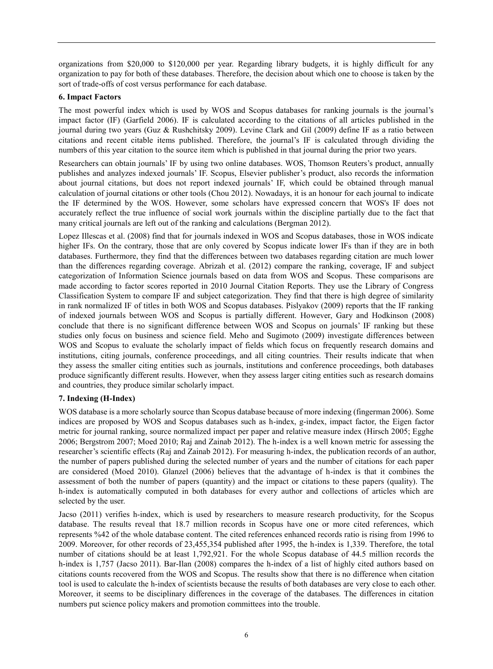organizations from \$20,000 to \$120,000 per year. Regarding library budgets, it is highly difficult for any organization to pay for both of these databases. Therefore, the decision about which one to choose is taken by the sort of trade-offs of cost versus performance for each database.

# **6. Impact Factors**

The most powerful index which is used by WOS and Scopus databases for ranking journals is the journal's impact factor (IF) (Garfield 2006). IF is calculated according to the citations of all articles published in the journal during two years (Guz & Rushchitsky 2009). Levine Clark and Gil (2009) define IF as a ratio between citations and recent citable items published. Therefore, the journal's IF is calculated through dividing the numbers of this year citation to the source item which is published in that journal during the prior two years.

Researchers can obtain journals' IF by using two online databases. WOS, Thomson Reuters's product, annually publishes and analyzes indexed journals' IF. Scopus, Elsevier publisher's product, also records the information about journal citations, but does not report indexed journals' IF, which could be obtained through manual calculation of journal citations or other tools (Chou 2012). Nowadays, it is an honour for each journal to indicate the IF determined by the WOS. However, some scholars have expressed concern that WOS's IF does not accurately reflect the true influence of social work journals within the discipline partially due to the fact that many critical journals are left out of the ranking and calculations (Bergman 2012).

Lopez Illescas et al. (2008) find that for journals indexed in WOS and Scopus databases, those in WOS indicate higher IFs. On the contrary, those that are only covered by Scopus indicate lower IFs than if they are in both databases. Furthermore, they find that the differences between two databases regarding citation are much lower than the differences regarding coverage. Abrizah et al. (2012) compare the ranking, coverage, IF and subject categorization of Information Science journals based on data from WOS and Scopus. These comparisons are made according to factor scores reported in 2010 Journal Citation Reports. They use the Library of Congress Classification System to compare IF and subject categorization. They find that there is high degree of similarity in rank normalized IF of titles in both WOS and Scopus databases. Pislyakov (2009) reports that the IF ranking of indexed journals between WOS and Scopus is partially different. However, Gary and Hodkinson (2008) conclude that there is no significant difference between WOS and Scopus on journals' IF ranking but these studies only focus on business and science field. Meho and Sugimoto (2009) investigate differences between WOS and Scopus to evaluate the scholarly impact of fields which focus on frequently research domains and institutions, citing journals, conference proceedings, and all citing countries. Their results indicate that when they assess the smaller citing entities such as journals, institutions and conference proceedings, both databases produce significantly different results. However, when they assess larger citing entities such as research domains and countries, they produce similar scholarly impact.

# **7. Indexing (H-Index)**

WOS database is a more scholarly source than Scopus database because of more indexing (fingerman 2006). Some indices are proposed by WOS and Scopus databases such as h-index, g-index, impact factor, the Eigen factor metric for journal ranking, source normalized impact per paper and relative measure index (Hirsch 2005; Egghe 2006; Bergstrom 2007; Moed 2010; Raj and Zainab 2012). The h-index is a well known metric for assessing the researcher's scientific effects (Raj and Zainab 2012). For measuring h-index, the publication records of an author, the number of papers published during the selected number of years and the number of citations for each paper are considered (Moed 2010). Glanzel (2006) believes that the advantage of h-index is that it combines the assessment of both the number of papers (quantity) and the impact or citations to these papers (quality). The h-index is automatically computed in both databases for every author and collections of articles which are selected by the user.

Jacso (2011) verifies h-index, which is used by researchers to measure research productivity, for the Scopus database. The results reveal that 18.7 million records in Scopus have one or more cited references, which represents %42 of the whole database content. The cited references enhanced records ratio is rising from 1996 to 2009. Moreover, for other records of 23,455,354 published after 1995, the h-index is 1,339. Therefore, the total number of citations should be at least 1,792,921. For the whole Scopus database of 44.5 million records the h-index is 1,757 (Jacso 2011). Bar-Ilan (2008) compares the h-index of a list of highly cited authors based on citations counts recovered from the WOS and Scopus. The results show that there is no difference when citation tool is used to calculate the h-index of scientists because the results of both databases are very close to each other. Moreover, it seems to be disciplinary differences in the coverage of the databases. The differences in citation numbers put science policy makers and promotion committees into the trouble.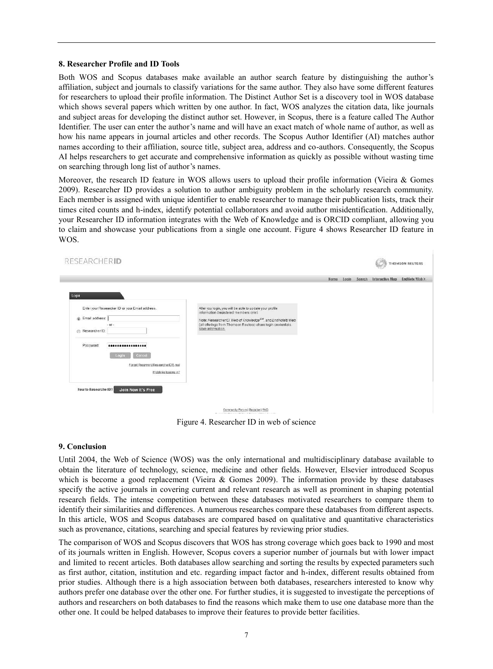#### **8. Researcher Profile and ID Tools**

Both WOS and Scopus databases make available an author search feature by distinguishing the author's affiliation, subject and journals to classify variations for the same author. They also have some different features for researchers to upload their profile information. The Distinct Author Set is a discovery tool in WOS database which shows several papers which written by one author. In fact, WOS analyzes the citation data, like journals and subject areas for developing the distinct author set. However, in Scopus, there is a feature called The Author Identifier. The user can enter the author's name and will have an exact match of whole name of author, as well as how his name appears in journal articles and other records. The Scopus Author Identifier (AI) matches author names according to their affiliation, source title, subject area, address and co-authors. Consequently, the Scopus AI helps researchers to get accurate and comprehensive information as quickly as possible without wasting time on searching through long list of author's names.

Moreover, the research ID feature in WOS allows users to upload their profile information (Vieira & Gomes 2009). Researcher ID provides a solution to author ambiguity problem in the scholarly research community. Each member is assigned with unique identifier to enable researcher to manage their publication lists, track their times cited counts and h-index, identify potential collaborators and avoid author misidentification. Additionally, your Researcher ID information integrates with the Web of Knowledge and is ORCID compliant, allowing you to claim and showcase your publications from a single one account. Figure 4 shows Researcher ID feature in WOS.

| RESEARCHERID                                                                                                                                                                                                |                                                                                                                                                                                                                                                                    |      |       |  | <b>THOMSON REUTERS</b> |               |
|-------------------------------------------------------------------------------------------------------------------------------------------------------------------------------------------------------------|--------------------------------------------------------------------------------------------------------------------------------------------------------------------------------------------------------------------------------------------------------------------|------|-------|--|------------------------|---------------|
| Login<br>Enter your Researcher ID or your Email address.<br>@ Email address:<br>$-9f -$<br>Researcher ID:<br>Password:<br><br>Concel<br>Eoglin<br>Forgot Password/ResearcherD/E-mail<br>Problems logging m? | After you login, you will be able to update your profile<br>information (registered members only).<br>Note: Researcher(D), Web of Knowledge <sup>SM</sup> , and EndNote® Web<br>(all offerings from Thomson Reuters) share login credentials.<br>More information: | Home | Login |  | Search Interactive Map | EndNote Web > |
| New to Researcher(0?<br>Join Now It's Free                                                                                                                                                                  | Community Ferum) Register   FAO                                                                                                                                                                                                                                    |      |       |  |                        |               |

Figure 4. Researcher ID in web of science

#### **9. Conclusion**

Until 2004, the Web of Science (WOS) was the only international and multidisciplinary database available to obtain the literature of technology, science, medicine and other fields. However, Elsevier introduced Scopus which is become a good replacement (Vieira & Gomes 2009). The information provide by these databases specify the active journals in covering current and relevant research as well as prominent in shaping potential research fields. The intense competition between these databases motivated researchers to compare them to identify their similarities and differences. A numerous researches compare these databases from different aspects. In this article, WOS and Scopus databases are compared based on qualitative and quantitative characteristics such as provenance, citations, searching and special features by reviewing prior studies.

The comparison of WOS and Scopus discovers that WOS has strong coverage which goes back to 1990 and most of its journals written in English. However, Scopus covers a superior number of journals but with lower impact and limited to recent articles. Both databases allow searching and sorting the results by expected parameters such as first author, citation, institution and etc. regarding impact factor and h-index, different results obtained from prior studies. Although there is a high association between both databases, researchers interested to know why authors prefer one database over the other one. For further studies, it is suggested to investigate the perceptions of authors and researchers on both databases to find the reasons which make them to use one database more than the other one. It could be helped databases to improve their features to provide better facilities.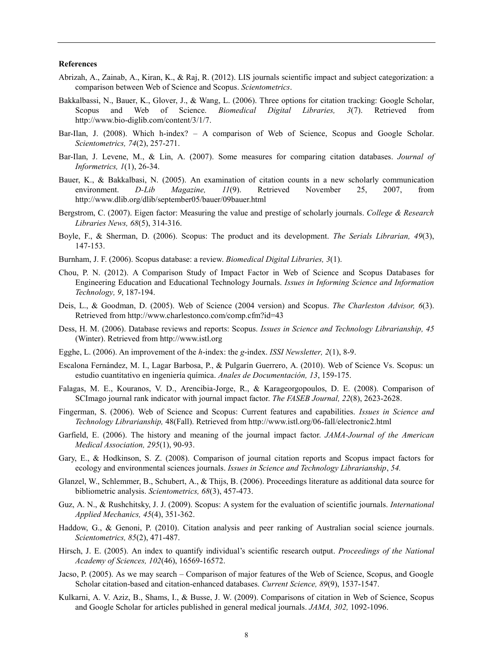#### **References**

- Abrizah, A., Zainab, A., Kiran, K., & Raj, R. (2012). LIS journals scientific impact and subject categorization: a comparison between Web of Science and Scopus. *Scientometrics*.
- Bakkalbassi, N., Bauer, K., Glover, J., & Wang, L. (2006). Three options for citation tracking: Google Scholar, Scopus and Web of Science. *Biomedical Digital Libraries, 3*(7). Retrieved from http://www.bio-diglib.com/content/3/1/7.
- Bar-Ilan, J. (2008). Which h-index? A comparison of Web of Science, Scopus and Google Scholar. *Scientometrics, 74*(2), 257-271.
- Bar-Ilan, J. Levene, M., & Lin, A. (2007). Some measures for comparing citation databases. *Journal of Informetrics, 1*(1), 26-34.
- Bauer, K., & Bakkalbasi, N. (2005). An examination of citation counts in a new scholarly communication environment. *D-Lib Magazine, 11*(9). Retrieved November 25, 2007, from http://www.dlib.org/dlib/september05/bauer/09bauer.html
- Bergstrom, C. (2007). Eigen factor: Measuring the value and prestige of scholarly journals. *College & Research Libraries News, 68*(5), 314-316.
- Boyle, F., & Sherman, D. (2006). Scopus: The product and its development. *The Serials Librarian, 49*(3), 147-153.
- Burnham, J. F. (2006). Scopus database: a review. *Biomedical Digital Libraries, 3*(1).
- Chou, P. N. (2012). A Comparison Study of Impact Factor in Web of Science and Scopus Databases for Engineering Education and Educational Technology Journals. *Issues in Informing Science and Information Technology, 9*, 187-194.
- Deis, L., & Goodman, D. (2005). Web of Science (2004 version) and Scopus. *The Charleston Advisor, 6*(3). Retrieved from http://www.charlestonco.com/comp.cfm?id=43
- Dess, H. M. (2006). Database reviews and reports: Scopus. *Issues in Science and Technology Librarianship, 45* (Winter). Retrieved from http://www.istl.org
- Egghe, L. (2006). An improvement of the *h*-index: the *g*-index. *ISSI Newsletter, 2*(1), 8-9.
- Escalona Fernández, M. I., Lagar Barbosa, P., & Pulgarín Guerrero, A. (2010). Web of Science Vs. Scopus: un estudio cuantitativo en ingeniería química. *Anales de Documentación, 13*, 159-175.
- Falagas, M. E., Kouranos, V. D., Arencibia-Jorge, R., & Karageorgopoulos, D. E. (2008). Comparison of SCImago journal rank indicator with journal impact factor. *The FASEB Journal, 22*(8), 2623-2628.
- Fingerman, S. (2006). Web of Science and Scopus: Current features and capabilities. *Issues in Science and Technology Librarianship,* 48(Fall). Retrieved from http://www.istl.org/06-fall/electronic2.html
- Garfield, E. (2006). The history and meaning of the journal impact factor. *JAMA-Journal of the American Medical Association, 295*(1), 90-93.
- Gary, E., & Hodkinson, S. Z. (2008). Comparison of journal citation reports and Scopus impact factors for ecology and environmental sciences journals. *Issues in Science and Technology Librarianship*, *54.*
- Glanzel, W., Schlemmer, B., Schubert, A., & Thijs, B. (2006). Proceedings literature as additional data source for bibliometric analysis. *Scientometrics, 68*(3), 457-473.
- Guz, A. N., & Rushchitsky, J. J. (2009). Scopus: A system for the evaluation of scientific journals. *International Applied Mechanics, 45*(4), 351-362.
- Haddow, G., & Genoni, P. (2010). Citation analysis and peer ranking of Australian social science journals. *Scientometrics, 85*(2), 471-487.
- Hirsch, J. E. (2005). An index to quantify individual's scientific research output. *Proceedings of the National Academy of Sciences, 102*(46), 16569-16572.
- Jacso, P. (2005). As we may search Comparison of major features of the Web of Science, Scopus, and Google Scholar citation-based and citation-enhanced databases. *Current Science, 89*(9), 1537-1547.
- Kulkarni, A. V. Aziz, B., Shams, I., & Busse, J. W. (2009). Comparisons of citation in Web of Science, Scopus and Google Scholar for articles published in general medical journals. *JAMA, 302,* 1092-1096.